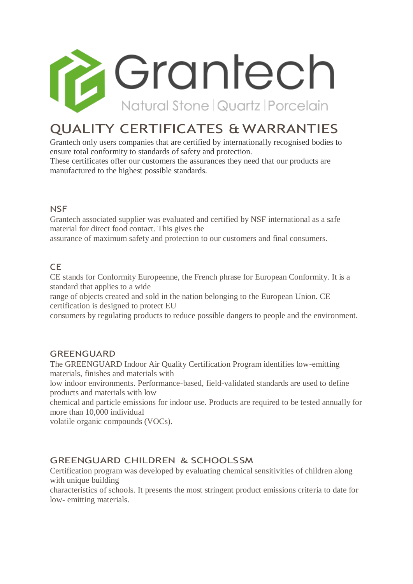

# QUALITY CERTIFICATES & WARRANTIES

Grantech only users companies that are certified by internationally recognised bodies to ensure total conformity to standards of safety and protection.

These certificates offer our customers the assurances they need that our products are manufactured to the highest possible standards.

# **NSF**

Grantech associated supplier was evaluated and certified by NSF international as a safe material for direct food contact. This gives the

assurance of maximum safety and protection to our customers and final consumers.

# CE

CE stands for Conformity Europeenne, the French phrase for European Conformity. It is a standard that applies to a wide

range of objects created and sold in the nation belonging to the European Union. CE certification is designed to protect EU

consumers by regulating products to reduce possible dangers to people and the environment.

# **GREENGUARD**

The GREENGUARD Indoor Air Quality Certification Program identifies low-emitting materials, finishes and materials with

low indoor environments. Performance-based, field-validated standards are used to define products and materials with low

chemical and particle emissions for indoor use. Products are required to be tested annually for more than 10,000 individual

volatile organic compounds (VOCs).

# GREENGUARD CHILDREN & SCHOOLSSM

Certification program was developed by evaluating chemical sensitivities of children along with unique building

characteristics of schools. It presents the most stringent product emissions criteria to date for low- emitting materials.